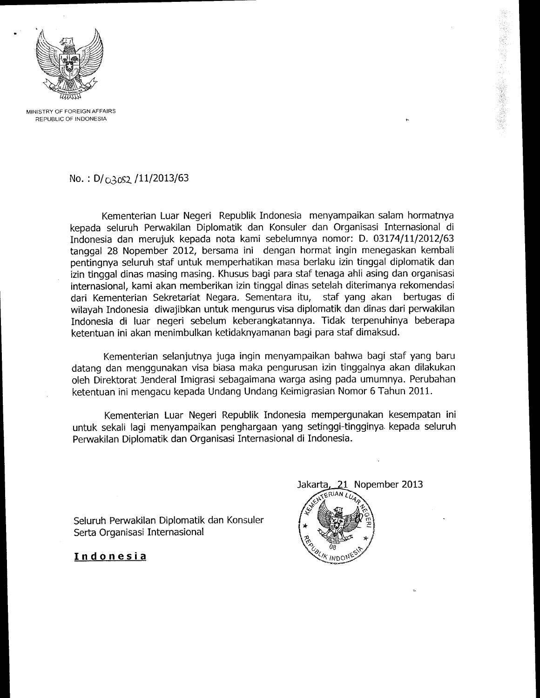

MINISTRY OF FOREIGN AFFAIRS REPUBLIC CF INDONESIA

## No.:  $D/\overline{O}3052/11/2013/63$

Kementerian Luar Negeri Republik Indonesia menyampaikan salam hormatnya kepada seluruh Perwakilan Diplomatik dan Konsuler dan Organisasi Internasional di Indonesia dan merujuk kepada nota kami sebelumnya nomor: D. 03174/11/2012/63 tanggal 28 Nopember 2012, bersama ini dengan hormat ingin menegaskan kembali pentingnya seluruh staf untuk memperhatikan masa berlaku izin tinggal diplomatik dan izin tinggal dinas masing masing. Khusus bagi para staf tenaga ahli asing dan organisasi internasional, kami akan memberikan izin tinggal dinas setelah diterimanya rekomendasi dari Kementerian Sekretariat Negara. Sementara itu, staf yang akan beftugas di wilayah Indonesia diwajibkan untuk mengurus visa diplomatik dan dinas dari penruakilan Indonesia di luar negeri sebelum keberangkatannya. Tidak terpenuhinya beberapa ketentuan ini akan menimbulkan ketidaknyamanan bagi para staf dimaksud.

Kementerian selanjutnya juga ingin menyampaikan bahwa bagi staf yang baru datang dan menggunakan visa biasa maka pengurusan izin tinggalnya akan dilakukan oleh Direktorat Jenderal Imigrasi sebagaimana warga asing pada umumnya. Perubahan ketentuan ini mengacu kepada Undang Undang Keimigrasian Nomor 6 Tahun 2011.

Kementerian Luar Negeri Republik Indonesia mempergunakan kesempatan ini untuk sekali lagi menyampaikan penghargaan yang setinggi-tingginya. kepada seluruh Penruakilan Diplomatik dan Organisasi Internasional di Indonesia.

Seluruh Perwakilan Diplomatik dan Konsuler Serta Organisasi Internasional

21 Nopember 2013